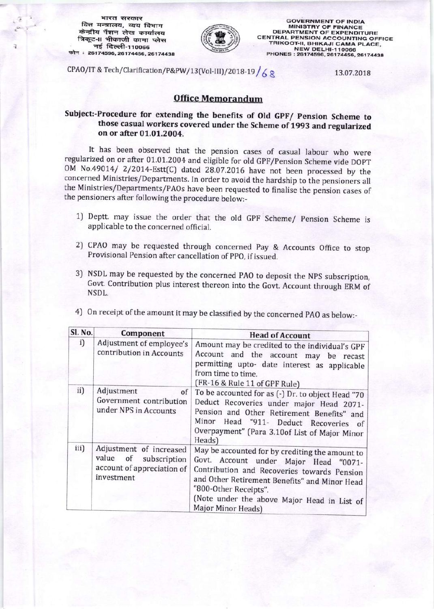भारत सरकार वित्त मन्त्रालय, व्यय विभाग केन्द्रीय पेंशन लेख कार्यालय त्रिकूट-॥ भीकाजी कामा प्लेस नई दिल्ली-110066 फोन: 26174596, 26174456, 26174438



**GOVERNMENT OF INDIA MINISTRY OF FINANCE DEPARTMENT OF EXPENDITURE CENTRAL PENSION ACCOUNTING OFFICE** TRIKOOT-II, BHIKAJI CAMA PLACE, NEW DELHI-110066<br>PHONES: 26174596, 26174456, 26174438

CPAO/IT & Tech/Clarification/P&PW/13(Vol-III)/2018-19/6 &

13.07.2018

## **Office Memorandum**

Subject:-Procedure for extending the benefits of Old GPF/ Pension Scheme to those casual workers covered under the Scheme of 1993 and regularized on or after 01.01.2004.

It has been observed that the pension cases of casual labour who were regularized on or after 01.01.2004 and eligible for old GPF/Pension Scheme vide DOPT OM No.49014/ 2/2014-Estt(C) dated 28.07.2016 have not been processed by the concerned Ministries/Departments. In order to avoid the hardship to the pensioners all the Ministries/Departments/PAOs have been requested to finalise the pension cases of the pensioners after following the procedure below:-

- 1) Deptt. may issue the order that the old GPF Scheme/ Pension Scheme is applicable to the concerned official.
- 2) CPAO may be requested through concerned Pay & Accounts Office to stop Provisional Pension after cancellation of PPO, if issued.
- 3) NSDL may be requested by the concerned PAO to deposit the NPS subscription, Govt. Contribution plus interest thereon into the Govt. Account through ERM of NSDL.

| Sl. No. | Component                                                                                       | <b>Head of Account</b>                                                                                                                                                                                                                                                                 |
|---------|-------------------------------------------------------------------------------------------------|----------------------------------------------------------------------------------------------------------------------------------------------------------------------------------------------------------------------------------------------------------------------------------------|
| i)      | Adjustment of employee's<br>contribution in Accounts                                            | Amount may be credited to the individual's GPF<br>Account and the account may be recast<br>permitting upto- date interest as applicable<br>from time to time.<br>(FR-16 & Rule 11 of GPF Rule)                                                                                         |
| ii)     | Adjustment<br>of<br>Government contribution<br>under NPS in Accounts                            | To be accounted for as (-) Dr. to object Head "70<br>Deduct Recoveries under major Head 2071-<br>Pension and Other Retirement Benefits" and<br>Minor Head "911- Deduct Recoveries of<br>Overpayment" (Para 3.10of List of Major Minor<br>Heads)                                        |
| iii)    | Adjustment of increased<br>value of<br>subscription<br>account of appreciation of<br>investment | May be accounted for by crediting the amount to<br>Govt. Account under Major Head "0071-<br>Contribution and Recoveries towards Pension<br>and Other Retirement Benefits" and Minor Head<br>"800-Other Receipts".<br>(Note under the above Major Head in List of<br>Major Minor Heads) |

4) On receipt of the amount it may be classified by the concerned PAO as below:-